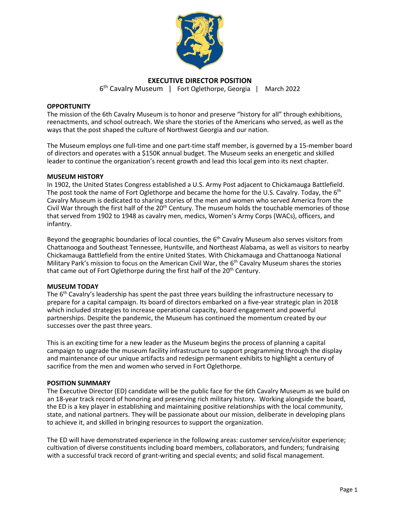

# **EXECUTIVE DIRECTOR POSITION**

6th Cavalry Museum | Fort Oglethorpe, Georgia | March 2022

### **OPPORTUNITY**

The mission of the 6th Cavalry Museum is to honor and preserve "history for all" through exhibitions, reenactments, and school outreach. We share the stories of the Americans who served, as well as the ways that the post shaped the culture of Northwest Georgia and our nation.

The Museum employs one full-time and one part-time staff member, is governed by a 15-member board of directors and operates with a \$150K annual budget. The Museum seeks an energetic and skilled leader to continue the organization's recent growth and lead this local gem into its next chapter.

### **MUSEUM HISTORY**

In 1902, the United States Congress established a U.S. Army Post adjacent to Chickamauga Battlefield. The post took the name of Fort Oglethorpe and became the home for the U.S. Cavalry. Today, the  $6<sup>th</sup>$ Cavalry Museum is dedicated to sharing stories of the men and women who served America from the Civil War through the first half of the 20<sup>th</sup> Century. The museum holds the touchable memories of those that served from 1902 to 1948 as cavalry men, medics, Women's Army Corps (WACs), officers, and infantry.

Beyond the geographic boundaries of local counties, the  $6<sup>th</sup>$  Cavalry Museum also serves visitors from Chattanooga and Southeast Tennessee, Huntsville, and Northeast Alabama, as well as visitors to nearby Chickamauga Battlefield from the entire United States. With Chickamauga and Chattanooga National Military Park's mission to focus on the American Civil War, the  $6<sup>th</sup>$  Cavalry Museum shares the stories that came out of Fort Oglethorpe during the first half of the 20<sup>th</sup> Century.

### **MUSEUM TODAY**

The  $6<sup>th</sup>$  Cavalry's leadership has spent the past three years building the infrastructure necessary to prepare for a capital campaign. Its board of directors embarked on a five-year strategic plan in 2018 which included strategies to increase operational capacity, board engagement and powerful partnerships. Despite the pandemic, the Museum has continued the momentum created by our successes over the past three years.

This is an exciting time for a new leader as the Museum begins the process of planning a capital campaign to upgrade the museum facility infrastructure to support programming through the display and maintenance of our unique artifacts and redesign permanent exhibits to highlight a century of sacrifice from the men and women who served in Fort Oglethorpe.

### **POSITION SUMMARY**

The Executive Director (ED) candidate will be the public face for the 6th Cavalry Museum as we build on an 18-year track record of honoring and preserving rich military history. Working alongside the board, the ED is a key player in establishing and maintaining positive relationships with the local community, state, and national partners. They will be passionate about our mission, deliberate in developing plans to achieve it, and skilled in bringing resources to support the organization.

The ED will have demonstrated experience in the following areas: customer service/visitor experience; cultivation of diverse constituents including board members, collaborators, and funders; fundraising with a successful track record of grant-writing and special events; and solid fiscal management.